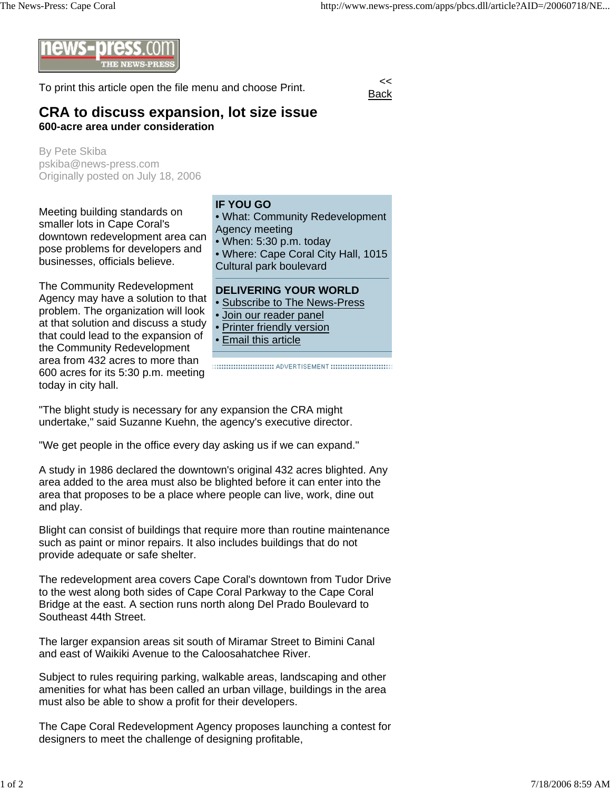

To print this article open the file menu and choose Print.

Back

## **CRA to discuss expansion, lot size issue 600-acre area under consideration**

By Pete Skiba pskiba@news-press.com Originally posted on July 18, 2006

Meeting building standards on smaller lots in Cape Coral's downtown redevelopment area can pose problems for developers and businesses, officials believe.

The Community Redevelopment Agency may have a solution to that problem. The organization will look at that solution and discuss a study that could lead to the expansion of the Community Redevelopment area from 432 acres to more than 600 acres for its 5:30 p.m. meeting today in city hall.

## **IF YOU GO**

• What: Community Redevelopment Agency meeting

• When: 5:30 p.m. today

• Where: Cape Coral City Hall, 1015 Cultural park boulevard

## **DELIVERING YOUR WORLD**

- Subscribe to The News-Press
- Join our reader panel
- Printer friendly version
- Email this article

:::::::::::::::::::::::::::::::::: ADVERTISEMENT :::::::::::::::::::::::::::::::

"The blight study is necessary for any expansion the CRA might undertake," said Suzanne Kuehn, the agency's executive director.

"We get people in the office every day asking us if we can expand."

A study in 1986 declared the downtown's original 432 acres blighted. Any area added to the area must also be blighted before it can enter into the area that proposes to be a place where people can live, work, dine out and play.

Blight can consist of buildings that require more than routine maintenance such as paint or minor repairs. It also includes buildings that do not provide adequate or safe shelter.

The redevelopment area covers Cape Coral's downtown from Tudor Drive to the west along both sides of Cape Coral Parkway to the Cape Coral Bridge at the east. A section runs north along Del Prado Boulevard to Southeast 44th Street.

The larger expansion areas sit south of Miramar Street to Bimini Canal and east of Waikiki Avenue to the Caloosahatchee River.

Subject to rules requiring parking, walkable areas, landscaping and other amenities for what has been called an urban village, buildings in the area must also be able to show a profit for their developers.

The Cape Coral Redevelopment Agency proposes launching a contest for designers to meet the challenge of designing profitable,